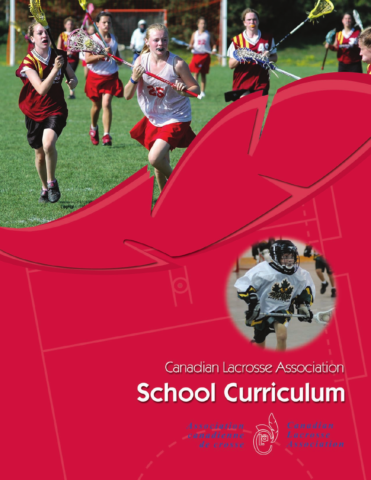### **Canadian Lacrosse Association School Curriculum**



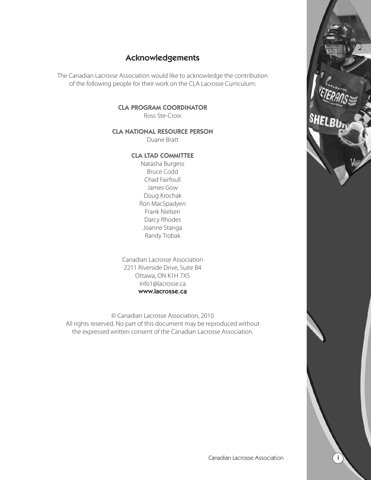### **Acknowledgements**

The Canadian Lacrosse Association would like to acknowledge the contribution of the following people for their work on the CLA Lacrosse Curriculum:

> **CLA PROGRAM COORDINATOR** Ross Ste-Croix

### **CLA NATIONAL RESOURCE PERSON**

Duane Bratt

### **CLA LTAD COMMITTEE**

Natasha Burgess Bruce Codd Chad Fairfoull James Gow Doug Krochak Ron MacSpadyen Frank Nielsen Darcy Rhodes Joanne Stanga Randy Trobak

Canadian Lacrosse Association 2211 Riverside Drive, Suite B4 Ottawa, ON K1H 7X5 info1@lacrosse.ca **www.lacrosse.ca**

© Canadian Lacrosse Association, 2010 All rights reserved. No part of this document may be reproduced without the expressed written consent of the Canadian Lacrosse Association.

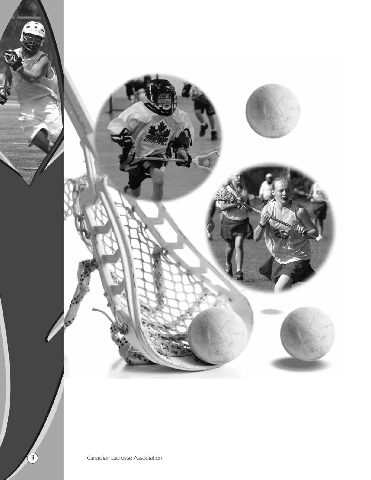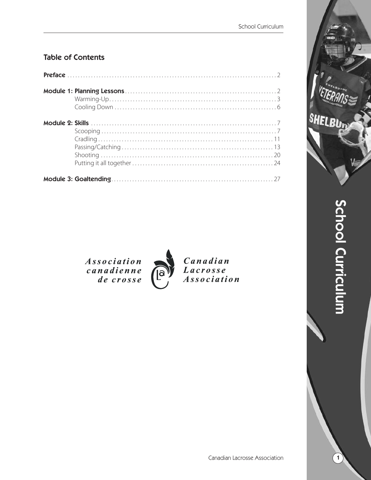### **Table of Contents**





SHELBUn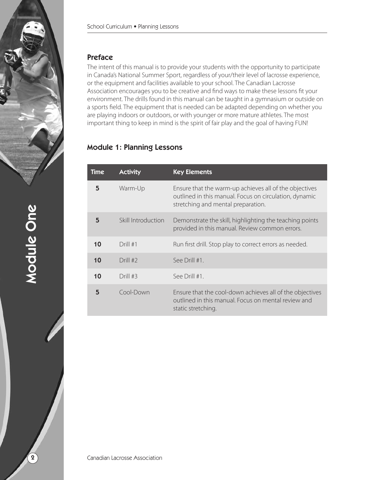### **Preface**

The intent of this manual is to provide your students with the opportunity to participate in Canada's National Summer Sport, regardless of your/their level of lacrosse experience, or the equipment and facilities available to your school. The Canadian Lacrosse Association encourages you to be creative and find ways to make these lessons fit your environment. The drills found in this manual can be taught in a gymnasium or outside on a sports field. The equipment that is needed can be adapted depending on whether you are playing indoors or outdoors, or with younger or more mature athletes. The most important thing to keep in mind is the spirit of fair play and the goal of having FUN!

### **Module 1: Planning Lessons**

| Time | <b>Activity</b>    | <b>Key Elements</b>                                                                                                                                    |
|------|--------------------|--------------------------------------------------------------------------------------------------------------------------------------------------------|
| 5    | Warm-Up            | Ensure that the warm-up achieves all of the objectives<br>outlined in this manual. Focus on circulation, dynamic<br>stretching and mental preparation. |
| 5    | Skill Introduction | Demonstrate the skill, highlighting the teaching points<br>provided in this manual. Review common errors.                                              |
| 10   | $Drill$ #1         | Run first drill. Stop play to correct errors as needed.                                                                                                |
| 10   | Drill #2           | See Drill #1.                                                                                                                                          |
| 10   | Drill #3           | See Drill #1.                                                                                                                                          |
| 5    | Cool-Down          | Ensure that the cool-down achieves all of the objectives<br>outlined in this manual. Focus on mental review and<br>static stretching.                  |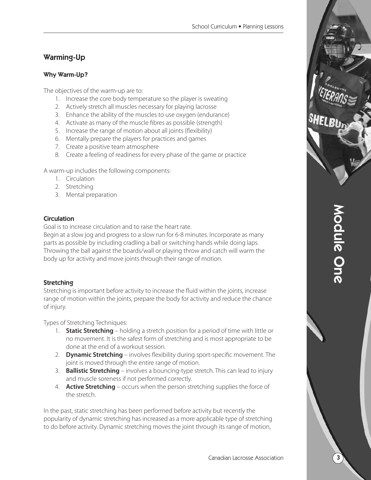### **Warming-Up**

### **Why Warm-Up?**

The objectives of the warm-up are to:

- 1. Increase the core body temperature so the player is sweating
- 2. Actively stretch all muscles necessary for playing lacrosse
- 3. Enhance the ability of the muscles to use oxygen (endurance)
- 4. Activate as many of the muscle fibres as possible (strength)
- 5. Increase the range of motion about all joints (flexibility)
- 6. Mentally prepare the players for practices and games
- 7. Create a positive team atmosphere
- 8. Create a feeling of readiness for every phase of the game or practice

A warm-up includes the following components:

- 1. Circulation
- 2. Stretching
- 3. Mental preparation

### **Circulation**

Goal is to increase circulation and to raise the heart rate.

Begin at a slow jog and progress to a slow run for 6-8 minutes. Incorporate as many parts as possible by including cradling a ball or switching hands while doing laps. Throwing the ball against the boards/wall or playing throw and catch will warm the body up for activity and move joints through their range of motion.

### **Stretching**

Stretching is important before activity to increase the fluid within the joints, increase range of motion within the joints, prepare the body for activity and reduce the chance of injury.

Types of Stretching Techniques:

- 1. **Static Stretching** holding a stretch position for a period of time with little or no movement. It is the safest form of stretching and is most appropriate to be done at the end of a workout session.
- 2. **Dynamic Stretching** involves flexibility during sport-specific movement. The joint is moved through the entire range of motion.
- 3. **Ballistic Stretching** involves a bouncing-type stretch. This can lead to injury and muscle soreness if not performed correctly.
- 4. **Active Stretching** occurs when the person stretching supplies the force of the stretch.

In the past, static stretching has been performed before activity but recently the popularity of dynamic stretching has increased as a more applicable type of stretching to do before activity. Dynamic stretching moves the joint through its range of motion,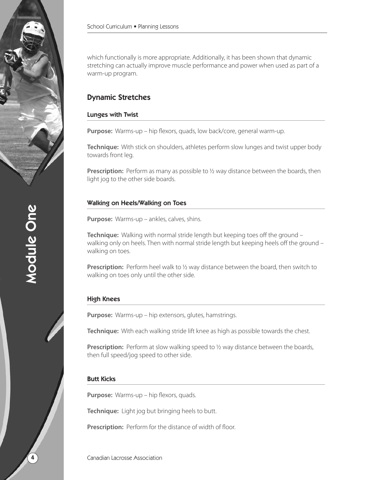**Module One**

Module One

which functionally is more appropriate. Additionally, it has been shown that dynamic stretching can actually improve muscle performance and power when used as part of a warm-up program.

### **Dynamic Stretches**

### **Lunges with Twist**

**Purpose:** Warms-up – hip flexors, quads, low back/core, general warm-up.

**Technique:** With stick on shoulders, athletes perform slow lunges and twist upper body towards front leg.

**Prescription:** Perform as many as possible to ½ way distance between the boards, then light jog to the other side boards.

### **Walking on Heels/Walking on Toes**

**Purpose:** Warms-up – ankles, calves, shins.

**Technique:** Walking with normal stride length but keeping toes off the ground – walking only on heels. Then with normal stride length but keeping heels off the ground – walking on toes.

**Prescription:** Perform heel walk to ½ way distance between the board, then switch to walking on toes only until the other side.

### **High Knees**

**Purpose:** Warms-up – hip extensors, glutes, hamstrings.

**Technique:** With each walking stride lift knee as high as possible towards the chest.

**Prescription:** Perform at slow walking speed to 1/2 way distance between the boards, then full speed/jog speed to other side.

### **Butt Kicks**

**Purpose:** Warms-up – hip flexors, quads.

**Technique:** Light jog but bringing heels to butt.

**Prescription:** Perform for the distance of width of floor.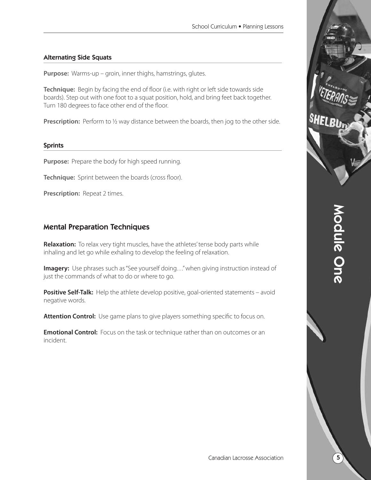### **Alternating Side Squats**

**Purpose:** Warms-up – groin, inner thighs, hamstrings, glutes.

**Technique:** Begin by facing the end of floor (i.e. with right or left side towards side boards). Step out with one foot to a squat position, hold, and bring feet back together. Turn 180 degrees to face other end of the floor.

**Prescription:** Perform to  $\frac{1}{2}$  way distance between the boards, then jog to the other side.

### **Sprints**

**Purpose:** Prepare the body for high speed running.

**Technique:** Sprint between the boards (cross floor).

**Prescription:** Repeat 2 times.

### **Mental Preparation Techniques**

**Relaxation:** To relax very tight muscles, have the athletes' tense body parts while inhaling and let go while exhaling to develop the feeling of relaxation.

**Imagery:** Use phrases such as "See yourself doing…" when giving instruction instead of just the commands of what to do or where to go.

**Positive Self-Talk:** Help the athlete develop positive, goal-oriented statements – avoid negative words.

Attention Control: Use game plans to give players something specific to focus on.

**Emotional Control:** Focus on the task or technique rather than on outcomes or an incident.

# **Module One**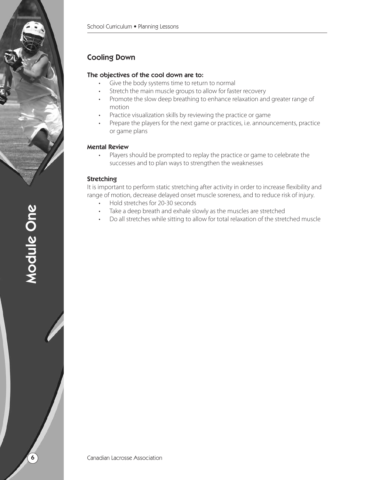**Module One**

Module One

### **Cooling Down**

### **The objectives of the cool down are to:**

- Give the body systems time to return to normal
- Stretch the main muscle groups to allow for faster recovery
- Promote the slow deep breathing to enhance relaxation and greater range of motion
- Practice visualization skills by reviewing the practice or game
- Prepare the players for the next game or practices, i.e. announcements, practice or game plans

### **Mental Review**

• Players should be prompted to replay the practice or game to celebrate the successes and to plan ways to strengthen the weaknesses

### **Stretching**

It is important to perform static stretching after activity in order to increase flexibility and range of motion, decrease delayed onset muscle soreness, and to reduce risk of injury.

- Hold stretches for 20-30 seconds
- Take a deep breath and exhale slowly as the muscles are stretched
- Do all stretches while sitting to allow for total relaxation of the stretched muscle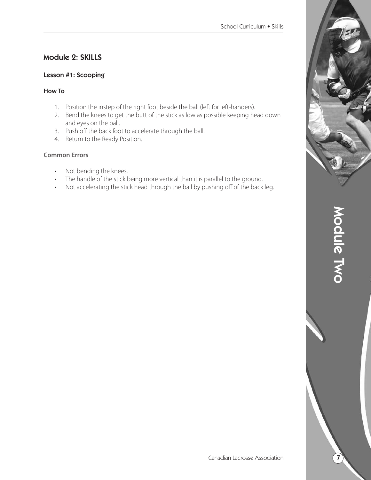### **Module 2: SKILLS**

### **Lesson #1: Scooping**

### **How To**

- 1. Position the instep of the right foot beside the ball (left for left-handers).
- 2. Bend the knees to get the butt of the stick as low as possible keeping head down and eyes on the ball.
- 3. Push off the back foot to accelerate through the ball.
- 4. Return to the Ready Position.

### **Common Errors**

- Not bending the knees.
- The handle of the stick being more vertical than it is parallel to the ground.
- Not accelerating the stick head through the ball by pushing off of the back leg.



**Module**

 **Two**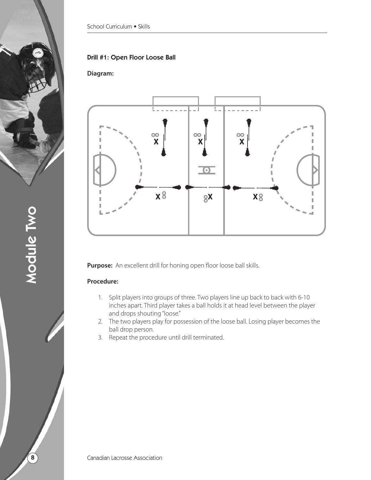

School Curriculum • Skills

### **Drill #1: Open Floor Loose Ball**

**Diagram:**



**Purpose:** An excellent drill for honing open floor loose ball skills.

### **Procedure:**

- 1. Split players into groups of three. Two players line up back to back with 6-10 inches apart. Third player takes a ball holds it at head level between the player and drops shouting "loose."
- 2. The two players play for possession of the loose ball. Losing player becomes the ball drop person.
- 3. Repeat the procedure until drill terminated.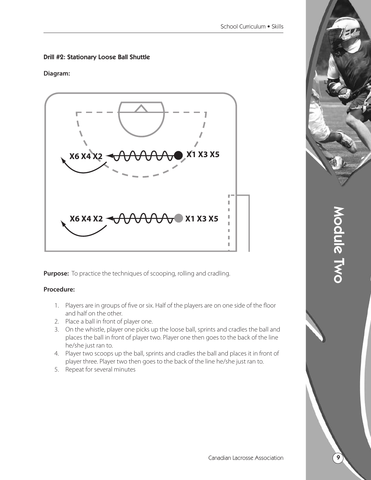### **Drill #2: Stationary Loose Ball Shuttle**

### **Diagram:**



**Purpose:** To practice the techniques of scooping, rolling and cradling.

### **Procedure:**

- 1. Players are in groups of five or six. Half of the players are on one side of the floor and half on the other.
- 2. Place a ball in front of player one.
- 3. On the whistle, player one picks up the loose ball, sprints and cradles the ball and places the ball in front of player two. Player one then goes to the back of the line he/she just ran to.
- 4. Player two scoops up the ball, sprints and cradles the ball and places it in front of player three. Player two then goes to the back of the line he/she just ran to.
- 5. Repeat for several minutes



## **Module Two**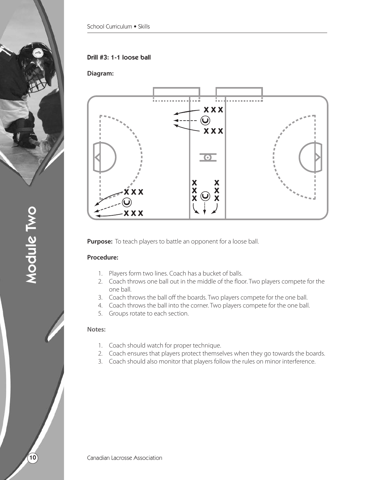### **Drill #3: 1-1 loose ball**

### **Diagram:**



**Purpose:** To teach players to battle an opponent for a loose ball.

### **Procedure:**

- 1. Players form two lines. Coach has a bucket of balls.
- 2. Coach throws one ball out in the middle of the floor. Two players compete for the one ball.
- 3. Coach throws the ball off the boards. Two players compete for the one ball.
- 4. Coach throws the ball into the corner. Two players compete for the one ball.
- 5. Groups rotate to each section.

### **Notes:**

- 1. Coach should watch for proper technique.
- 2. Coach ensures that players protect themselves when they go towards the boards.
- 3. Coach should also monitor that players follow the rules on minor interference.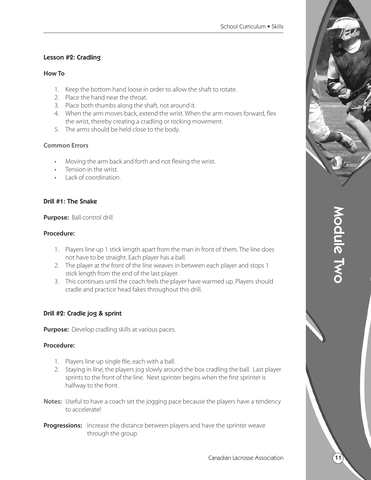### **Lesson #2: Cradling**

### **How To**

- 1. Keep the bottom hand loose in order to allow the shaft to rotate.
- 2. Place the hand near the throat.
- 3. Place both thumbs along the shaft, not around it.
- 4. When the arm moves back, extend the wrist. When the arm moves forward, flex the wrist, thereby creating a cradling or rocking movement.
- 5. The arms should be held close to the body.

### **Common Errors**

- Moving the arm back and forth and not flexing the wrist.
- Tension in the wrist.
- Lack of coordination.

### **Drill #1: The Snake**

**Purpose:** Ball control drill

### **Procedure:**

- 1. Players line up 1 stick length apart from the man in front of them. The line does not have to be straight. Each player has a ball.
- 2. The player at the front of the line weaves in between each player and stops 1 stick length from the end of the last player.
- 3. This continues until the coach feels the player have warmed up. Players should cradle and practice head fakes throughout this drill.

### **Drill #2: Cradle jog & sprint**

**Purpose:** Develop cradling skills at various paces.

### **Procedure:**

- 1. Players line up single file, each with a ball.
- 2. Staying in line, the players jog slowly around the box cradling the ball. Last player sprints to the front of the line. Next sprinter begins when the first sprinter is halfway to the front.
- **Notes:** Useful to have a coach set the jogging pace because the players have a tendency to accelerate!
- **Progressions:** Increase the distance between players and have the sprinter weave through the group.



## **Module Two**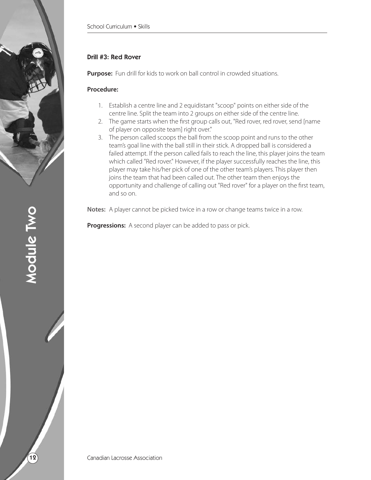### **Drill #3: Red Rover**

**Purpose:** Fun drill for kids to work on ball control in crowded situations.

### **Procedure:**

- 1. Establish a centre line and 2 equidistant "scoop" points on either side of the centre line. Split the team into 2 groups on either side of the centre line.
- 2. The game starts when the first group calls out, "Red rover, red rover, send [name of player on opposite team] right over."
- 3. The person called scoops the ball from the scoop point and runs to the other team's goal line with the ball still in their stick. A dropped ball is considered a failed attempt. If the person called fails to reach the line, this player joins the team which called "Red rover." However, if the player successfully reaches the line, this player may take his/her pick of one of the other team's players. This player then joins the team that had been called out. The other team then enjoys the opportunity and challenge of calling out "Red rover" for a player on the first team, and so on.

**Notes:** A player cannot be picked twice in a row or change teams twice in a row.

**Progressions:** A second player can be added to pass or pick.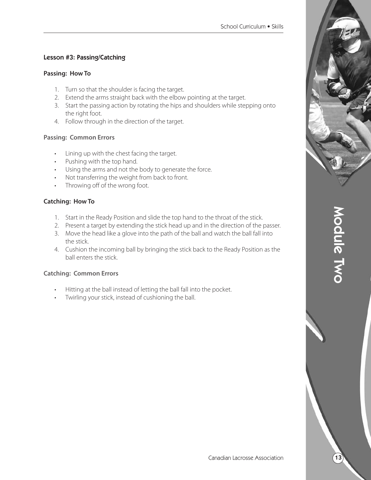### **Lesson #3: Passing/Catching**

### **Passing: How To**

- 1. Turn so that the shoulder is facing the target.
- 2. Extend the arms straight back with the elbow pointing at the target.
- 3. Start the passing action by rotating the hips and shoulders while stepping onto the right foot.
- 4. Follow through in the direction of the target.

### **Passing: Common Errors**

- Lining up with the chest facing the target.
- Pushing with the top hand.
- Using the arms and not the body to generate the force.
- Not transferring the weight from back to front.
- Throwing off of the wrong foot.

### **Catching: How To**

- 1. Start in the Ready Position and slide the top hand to the throat of the stick.
- 2. Present a target by extending the stick head up and in the direction of the passer.
- 3. Move the head like a glove into the path of the ball and watch the ball fall into the stick.
- 4. Cushion the incoming ball by bringing the stick back to the Ready Position as the ball enters the stick.

### **Catching: Common Errors**

- Hitting at the ball instead of letting the ball fall into the pocket.
- Twirling your stick, instead of cushioning the ball.

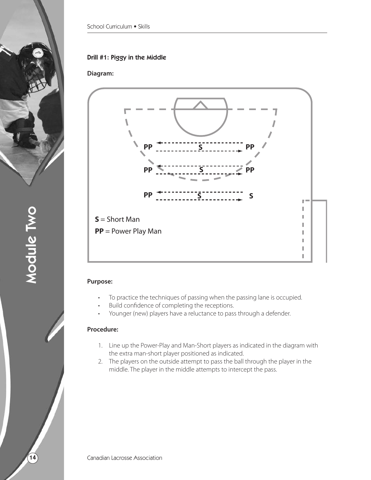### **Drill #1: Piggy in the Middle**

### **Diagram:**



### **Purpose:**

- To practice the techniques of passing when the passing lane is occupied.
- Build confidence of completing the receptions.
- Younger (new) players have a reluctance to pass through a defender.

### **Procedure:**

- 1. Line up the Power-Play and Man-Short players as indicated in the diagram with the extra man-short player positioned as indicated.
- 2. The players on the outside attempt to pass the ball through the player in the middle. The player in the middle attempts to intercept the pass.

Canadian Lacrosse Association

**Module Two**

Module Two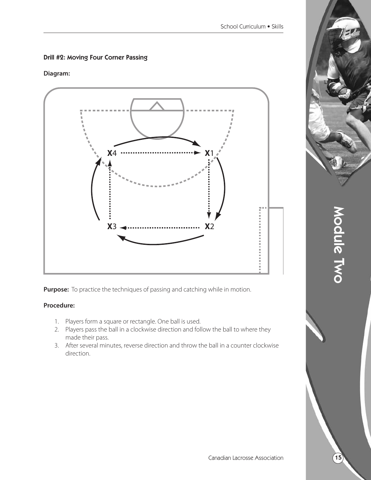### **Drill #2: Moving Four Corner Passing**

### **Diagram:**



**Purpose:** To practice the techniques of passing and catching while in motion.

### **Procedure:**

- 1. Players form a square or rectangle. One ball is used.
- 2. Players pass the ball in a clockwise direction and follow the ball to where they made their pass.
- 3. After several minutes, reverse direction and throw the ball in a counter clockwise direction.



## **Module Two**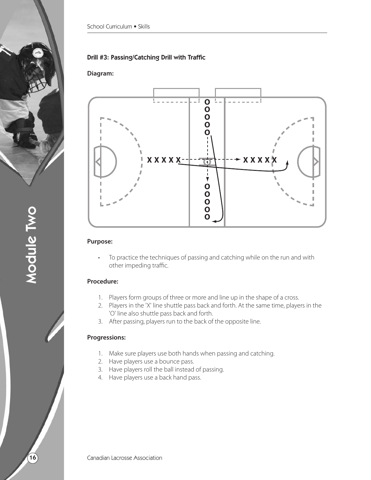### **Drill #3: Passing/Catching Drill with Traffic**

### **Diagram:**



### **Purpose:**

To practice the techniques of passing and catching while on the run and with other impeding traffic.

### **Procedure:**

- 1. Players form groups of three or more and line up in the shape of a cross.
- 2. Players in the 'X' line shuttle pass back and forth. At the same time, players in the 'O' line also shuttle pass back and forth.
- 3. After passing, players run to the back of the opposite line.

### **Progressions:**

- 1. Make sure players use both hands when passing and catching.
- 2. Have players use a bounce pass.
- 3. Have players roll the ball instead of passing.
- 4. Have players use a back hand pass.

**Module Two**

Module Two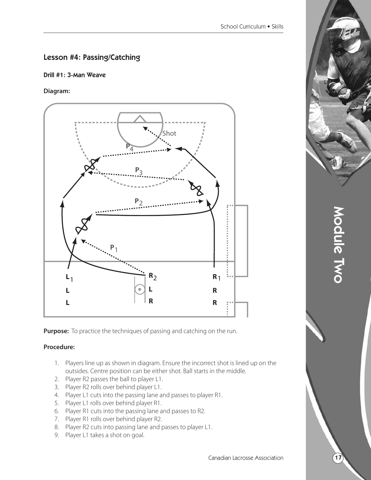### **Lesson #4: Passing/Catching**

### **Drill #1: 3-Man Weave**

**Diagram:**



**Purpose:** To practice the techniques of passing and catching on the run.

### **Procedure:**

- 1. Players line up as shown in diagram. Ensure the incorrect shot is lined up on the outsides. Centre position can be either shot. Ball starts in the middle.
- 2. Player R2 passes the ball to player L1.
- 3. Player R2 rolls over behind player L1.
- 4. Player L1 cuts into the passing lane and passes to player R1.
- 5. Player L1 rolls over behind player R1.
- 6. Player R1 cuts into the passing lane and passes to R2.
- 7. Player R1 rolls over behind player R2.
- 8. Player R2 cuts into passing lane and passes to player L1.
- 9. Player L1 takes a shot on goal.

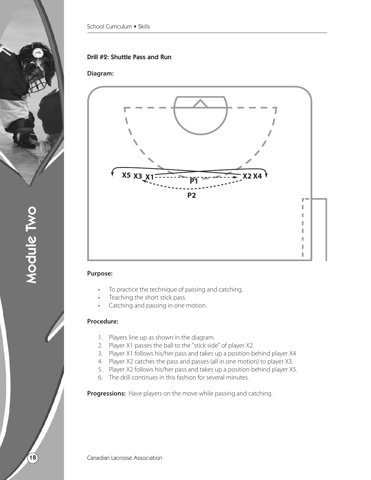### **Drill #2: Shuttle Pass and Run**

### **Diagram:**



### **Purpose:**

- To practice the technique of passing and catching.
- Teaching the short stick pass.
- Catching and passing in one motion.

### **Procedure:**

- 1. Players line up as shown in the diagram.
- 2. Player X1 passes the ball to the "stick side" of player X2.
- 3. Player X1 follows his/her pass and takes up a position behind player X4
- 4. Player X2 catches the pass and passes (all in one motion) to player X3.
- 5. Player X2 follows his/her pass and takes up a position behind player X5.
- 6. The drill continues in this fashion for several minutes.

**Progressions:** Have players on the move while passing and catching.

**Module Two**

Module Two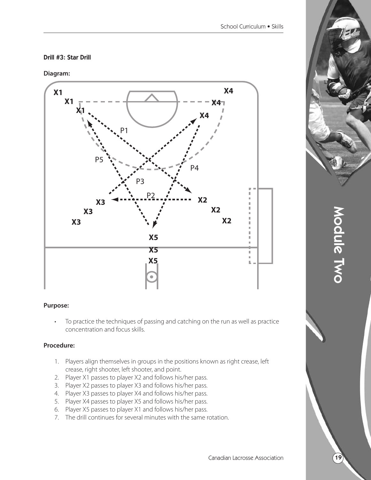### **Drill #3: Star Drill**





### **Purpose:**

• To practice the techniques of passing and catching on the run as well as practice concentration and focus skills.

### **Procedure:**

- 1. Players align themselves in groups in the positions known as right crease, left crease, right shooter, left shooter, and point.
- 2. Player X1 passes to player X2 and follows his/her pass.
- 3. Player X2 passes to player X3 and follows his/her pass.
- 4. Player X3 passes to player X4 and follows his/her pass.
- 5. Player X4 passes to player X5 and follows his/her pass.
- 6. Player X5 passes to player X1 and follows his/her pass.
- 7. The drill continues for several minutes with the same rotation.



## **Module Two**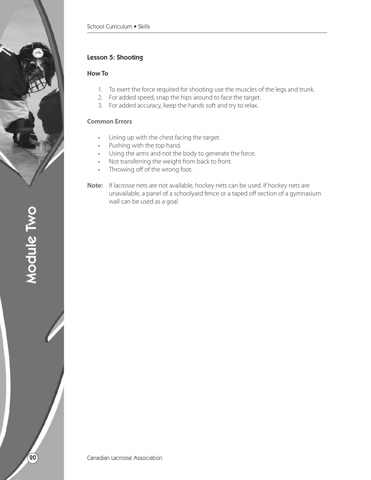**Module Two**

Module Two

### **Lesson 5: Shooting**

### **How To**

- 1. To exert the force required for shooting use the muscles of the legs and trunk.
- 2. For added speed, snap the hips around to face the target.
- 3. For added accuracy, keep the hands soft and try to relax.

### **Common Errors**

- Lining up with the chest facing the target.
- Pushing with the top hand.
- Using the arms and not the body to generate the force.
- Not transferring the weight from back to front.
- Throwing off of the wrong foot.
- **Note:** If lacrosse nets are not available, hockey nets can be used. If hockey nets are unavailable, a panel of a schoolyard fence or a taped off section of a gymnasium wall can be used as a goal.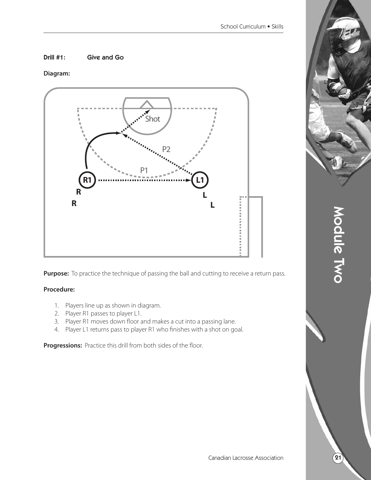### **Drill #1: Give and Go**

### **Diagram:**



**Purpose:** To practice the technique of passing the ball and cutting to receive a return pass.

### **Procedure:**

- 1. Players line up as shown in diagram.
- 2. Player R1 passes to player L1.
- 3. Player R1 moves down floor and makes a cut into a passing lane.
- 4. Player L1 returns pass to player R1 who finishes with a shot on goal.

**Progressions:** Practice this drill from both sides of the floor.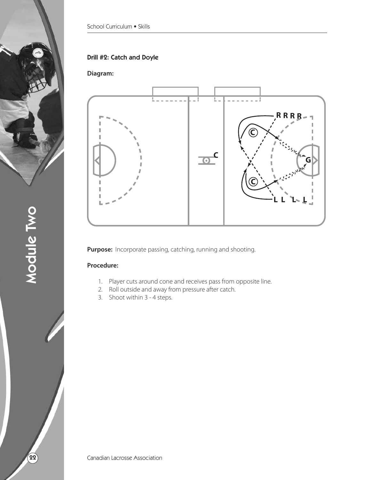

School Curriculum • Skills

### **Drill #2: Catch and Doyle**

### **Diagram:**



**Purpose:** Incorporate passing, catching, running and shooting.

### **Procedure:**

- 1. Player cuts around cone and receives pass from opposite line.
- 2. Roll outside and away from pressure after catch.
- 3. Shoot within 3 4 steps.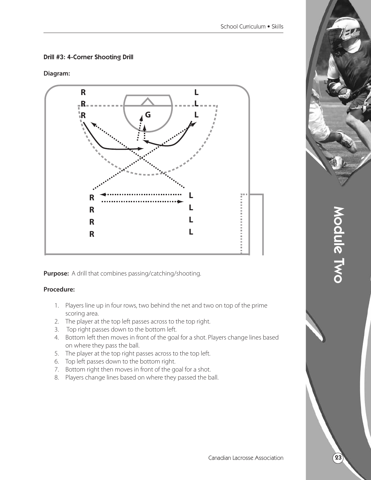### **Drill #3: 4-Corner Shooting Drill**



**Purpose:** A drill that combines passing/catching/shooting.

### **Procedure:**

- 1. Players line up in four rows, two behind the net and two on top of the prime scoring area.
- 2. The player at the top left passes across to the top right.
- 3. Top right passes down to the bottom left.
- 4. Bottom left then moves in front of the goal for a shot. Players change lines based on where they pass the ball.
- 5. The player at the top right passes across to the top left.
- 6. Top left passes down to the bottom right.
- 7. Bottom right then moves in front of the goal for a shot.
- 8. Players change lines based on where they passed the ball.



## **Module Two**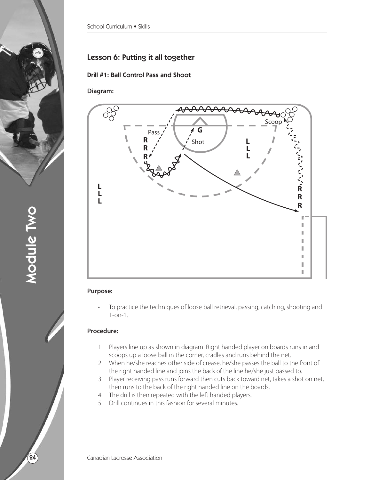### **Lesson 6: Putting it all together**

### **Drill #1: Ball Control Pass and Shoot**

**Diagram:**



### **Purpose:**

• To practice the techniques of loose ball retrieval, passing, catching, shooting and 1-on-1.

### **Procedure:**

- 1. Players line up as shown in diagram. Right handed player on boards runs in and scoops up a loose ball in the corner, cradles and runs behind the net.
- 2. When he/she reaches other side of crease, he/she passes the ball to the front of the right handed line and joins the back of the line he/she just passed to.
- 3. Player receiving pass runs forward then cuts back toward net, takes a shot on net, then runs to the back of the right handed line on the boards.
- 4. The drill is then repeated with the left handed players.
- 5. Drill continues in this fashion for several minutes.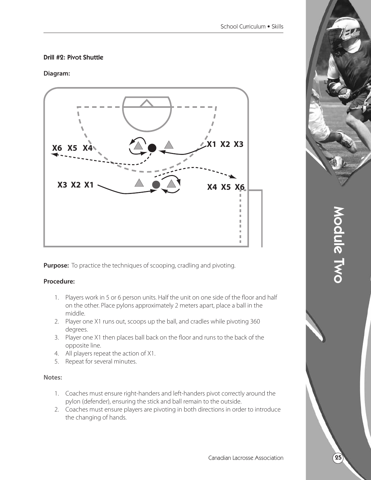### **Drill #2: Pivot Shuttle**

### **Diagram:**



**Purpose:** To practice the techniques of scooping, cradling and pivoting.

### **Procedure:**

- 1. Players work in 5 or 6 person units. Half the unit on one side of the floor and half on the other. Place pylons approximately 2 meters apart, place a ball in the middle.
- 2. Player one X1 runs out, scoops up the ball, and cradles while pivoting 360 degrees.
- 3. Player one X1 then places ball back on the floor and runs to the back of the opposite line.
- 4. All players repeat the action of X1.
- 5. Repeat for several minutes.

### **Notes:**

- 1. Coaches must ensure right-handers and left-handers pivot correctly around the pylon (defender), ensuring the stick and ball remain to the outside.
- 2. Coaches must ensure players are pivoting in both directions in order to introduce the changing of hands.



## **Module Two**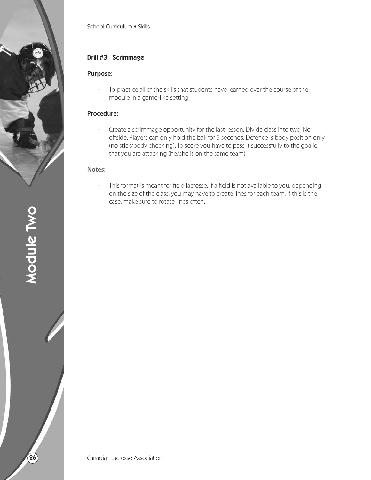### **Drill #3: Scrimmage**

### **Purpose:**

• To practice all of the skills that students have learned over the course of the module in a game-like setting.

### **Procedure:**

• Create a scrimmage opportunity for the last lesson. Divide class into two. No offside. Players can only hold the ball for 5 seconds. Defence is body position only (no stick/body checking). To score you have to pass it successfully to the goalie that you are attacking (he/she is on the same team).

### **Notes:**

• This format is meant for field lacrosse. If a field is not available to you, depending on the size of the class, you may have to create lines for each team. If this is the case, make sure to rotate lines often.

**Module Two**

Module Two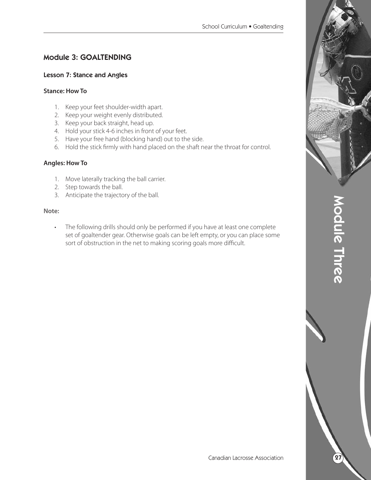### **Module 3: GOALTENDING**

### **Lesson 7: Stance and Angles**

### **Stance: How To**

- 1. Keep your feet shoulder-width apart.
- 2. Keep your weight evenly distributed.
- 3. Keep your back straight, head up.
- 4. Hold your stick 4-6 inches in front of your feet.
- 5. Have your free hand (blocking hand) out to the side.
- 6. Hold the stick firmly with hand placed on the shaft near the throat for control.

### **Angles: How To**

- 1. Move laterally tracking the ball carrier.
- 2. Step towards the ball.
- 3. Anticipate the trajectory of the ball.

### **Note:**

• The following drills should only be performed if you have at least one complete set of goaltender gear. Otherwise goals can be left empty, or you can place some sort of obstruction in the net to making scoring goals more difficult.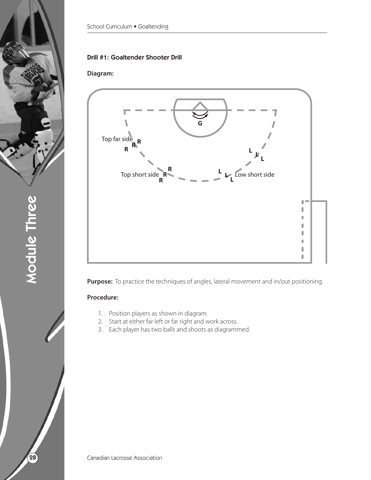### **Drill #1: Goaltender Shooter Drill**

### **Diagram:**



**Purpose:** To practice the techniques of angles, lateral movement and in/out positioning.

### **Procedure:**

- 1. Position players as shown in diagram.
- 2. Start at either far left or far right and work across.
- 3. Each player has two balls and shoots as diagrammed.

**Module Three**

**Module Three**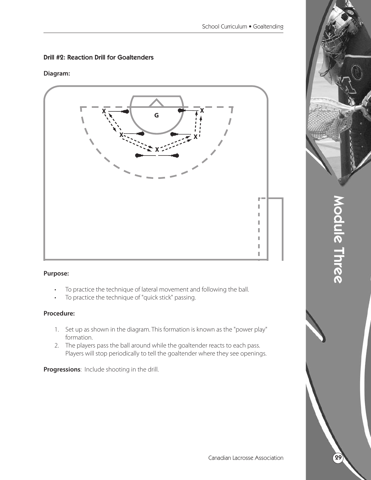### **Drill #2: Reaction Drill for Goaltenders**

### **Diagram:**



### **Purpose:**

- To practice the technique of lateral movement and following the ball.
- To practice the technique of "quick stick" passing.

### **Procedure:**

- 1. Set up as shown in the diagram. This formation is known as the "power play" formation.
- 2. The players pass the ball around while the goaltender reacts to each pass. Players will stop periodically to tell the goaltender where they see openings.

**Progressions**: Include shooting in the drill.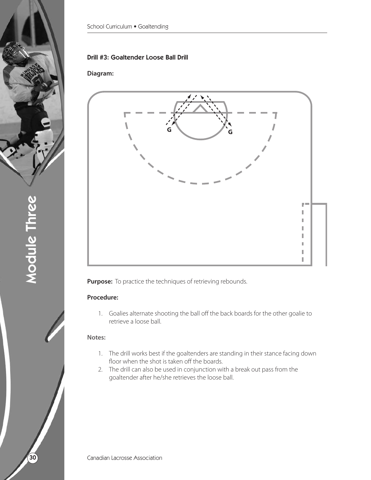### **Drill #3: Goaltender Loose Ball Drill**

### **Diagram:**



**Purpose:** To practice the techniques of retrieving rebounds.

### **Procedure:**

1. Goalies alternate shooting the ball off the back boards for the other goalie to retrieve a loose ball.

### **Notes:**

- 1. The drill works best if the goaltenders are standing in their stance facing down floor when the shot is taken off the boards.
- 2. The drill can also be used in conjunction with a break out pass from the goaltender after he/she retrieves the loose ball.

**Module Three**

**Module Three**